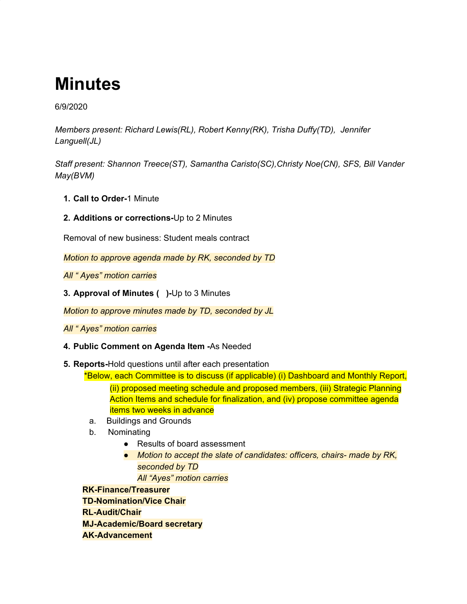# **Minutes**

6/9/2020

*Members present: Richard Lewis(RL), Robert Kenny(RK), Trisha Duffy(TD), Jennifer Languell(JL)*

*Staff present: Shannon Treece(ST), Samantha Caristo(SC),Christy Noe(CN), SFS, Bill Vander May(BVM)*

- **1. Call to Order-**1 Minute
- **2. Additions or corrections-**Up to 2 Minutes

Removal of new business: Student meals contract

*Motion to approve agenda made by RK, seconded by TD*

*All " Ayes" motion carries*

**3. Approval of Minutes ( )-**Up to 3 Minutes

*Motion to approve minutes made by TD, seconded by JL*

*All " Ayes" motion carries*

- **4. Public Comment on Agenda Item -**As Needed
- **5. Reports-**Hold questions until after each presentation

\*Below, each Committee is to discuss (if applicable) (i) Dashboard and Monthly Report,

(ii) proposed meeting schedule and proposed members, (iii) Strategic Planning Action Items and schedule for finalization, and (iv) propose committee agenda items two weeks in advance

- a. Buildings and Grounds
- b. Nominating
	- Results of board assessment
	- *● Motion to accept the slate of candidates: officers, chairs- made by RK, seconded by TD*

*All "Ayes" motion carries*

**RK-Finance/Treasurer**

**TD-Nomination/Vice Chair**

**RL-Audit/Chair**

**MJ-Academic/Board secretary**

**AK-Advancement**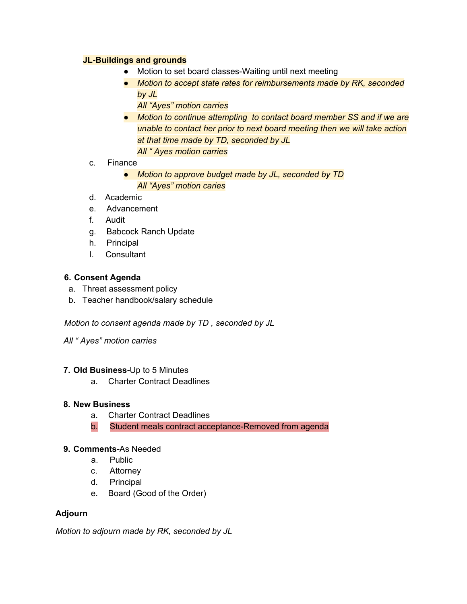#### **JL-Buildings and grounds**

- Motion to set board classes-Waiting until next meeting
- *● Motion to accept state rates for reimbursements made by RK, seconded by JL*
	- *All "Ayes" motion carries*
- *● Motion to continue attempting to contact board member SS and if we are unable to contact her prior to next board meeting then we will take action at that time made by TD, seconded by JL All " Ayes motion carries*
- c. Finance
	- *● Motion to approve budget made by JL, seconded by TD All "Ayes" motion caries*
- d. Academic
- e. Advancement
- f. Audit
- g. Babcock Ranch Update
- h. Principal
- I. Consultant

#### **6. Consent Agenda**

- a. Threat assessment policy
- b. Teacher handbook/salary schedule

*Motion to consent agenda made by TD , seconded by JL*

*All " Ayes" motion carries*

#### **7. Old Business-**Up to 5 Minutes

a. Charter Contract Deadlines

#### **8. New Business**

- a. Charter Contract Deadlines
- b. Student meals contract acceptance-Removed from agenda

#### **9. Comments-**As Needed

- a. Public
- c. Attorney
- d. Principal
- e. Board (Good of the Order)

### **Adjourn**

*Motion to adjourn made by RK, seconded by JL*